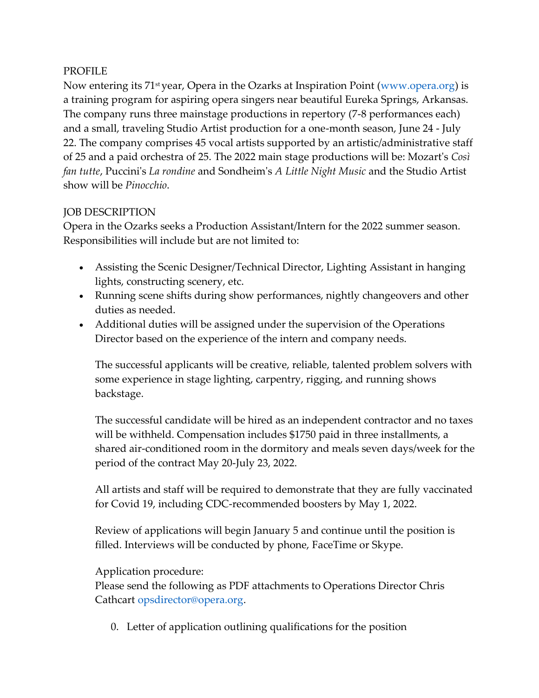## PROFILE

Now entering its 71<sup>st</sup> year, Opera in the Ozarks at Inspiration Point (www.opera.org) is a training program for aspiring opera singers near beautiful Eureka Springs, Arkansas. The company runs three mainstage productions in repertory (7-8 performances each) and a small, traveling Studio Artist production for a one-month season, June 24 - July 22. The company comprises 45 vocal artists supported by an artistic/administrative staff of 25 and a paid orchestra of 25. The 2022 main stage productions will be: Mozart's *Così fan tutte*, Puccini's *La rondine* and Sondheim's *A Little Night Music* and the Studio Artist show will be *Pinocchio*.

## JOB DESCRIPTION

Opera in the Ozarks seeks a Production Assistant/Intern for the 2022 summer season. Responsibilities will include but are not limited to:

- Assisting the Scenic Designer/Technical Director, Lighting Assistant in hanging lights, constructing scenery, etc.
- Running scene shifts during show performances, nightly changeovers and other duties as needed.
- Additional duties will be assigned under the supervision of the Operations Director based on the experience of the intern and company needs.

The successful applicants will be creative, reliable, talented problem solvers with some experience in stage lighting, carpentry, rigging, and running shows backstage.

The successful candidate will be hired as an independent contractor and no taxes will be withheld. Compensation includes \$1750 paid in three installments, a shared air-conditioned room in the dormitory and meals seven days/week for the period of the contract May 20-July 23, 2022.

All artists and staff will be required to demonstrate that they are fully vaccinated for Covid 19, including CDC-recommended boosters by May 1, 2022.

Review of applications will begin January 5 and continue until the position is filled. Interviews will be conducted by phone, FaceTime or Skype.

## Application procedure:

Please send the following as PDF attachments to Operations Director Chris Cathcart opsdirector@opera.org.

0. Letter of application outlining qualifications for the position